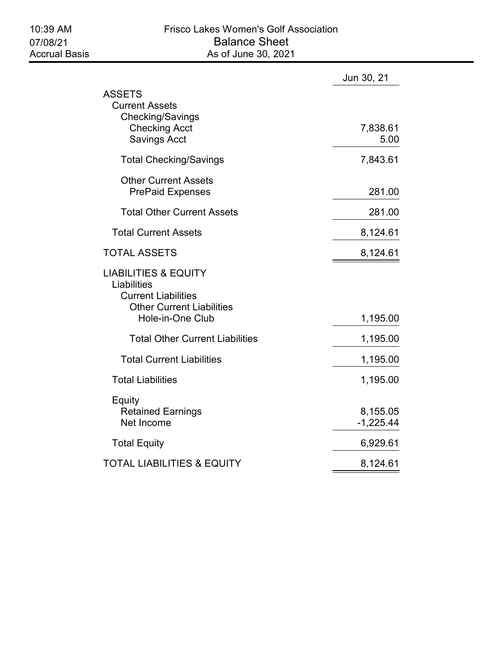|                                                                                                                                      | Jun 30, 21              |
|--------------------------------------------------------------------------------------------------------------------------------------|-------------------------|
| ASSETS<br><b>Current Assets</b><br>Checking/Savings<br><b>Checking Acct</b><br><b>Savings Acct</b>                                   | 7,838.61<br>5.00        |
| <b>Total Checking/Savings</b>                                                                                                        | 7,843.61                |
| <b>Other Current Assets</b><br><b>PrePaid Expenses</b>                                                                               | 281.00                  |
| <b>Total Other Current Assets</b>                                                                                                    | 281.00                  |
| <b>Total Current Assets</b>                                                                                                          | 8,124.61                |
| <b>TOTAL ASSETS</b>                                                                                                                  | 8,124.61                |
| <b>LIABILITIES &amp; EQUITY</b><br>Liabilities<br><b>Current Liabilities</b><br><b>Other Current Liabilities</b><br>Hole-in-One Club | 1,195.00                |
| <b>Total Other Current Liabilities</b>                                                                                               | 1,195.00                |
| <b>Total Current Liabilities</b>                                                                                                     | 1,195.00                |
| <b>Total Liabilities</b>                                                                                                             | 1,195.00                |
| Equity<br><b>Retained Earnings</b><br>Net Income                                                                                     | 8,155.05<br>$-1,225.44$ |
| <b>Total Equity</b>                                                                                                                  | 6,929.61                |
| TOTAL LIABILITIES & EQUITY                                                                                                           | 8,124.61                |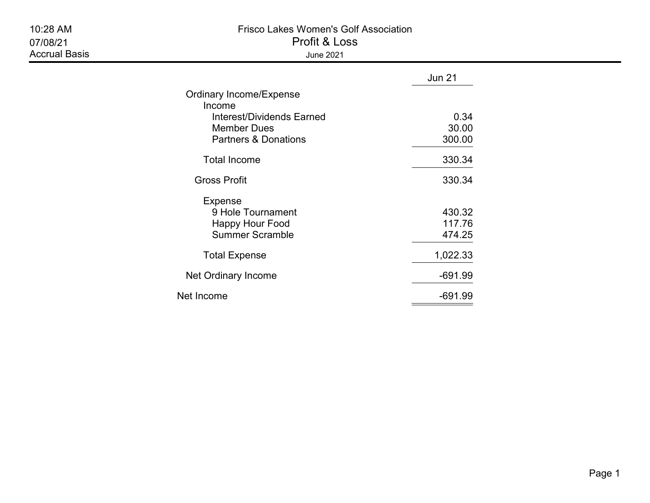| 10:28 AM<br>07/08/21<br><b>Accrual Basis</b> | <b>Frisco Lakes Women's Golf Association</b><br>Profit & Loss<br><b>June 2021</b>                                              |                            |  |  |  |
|----------------------------------------------|--------------------------------------------------------------------------------------------------------------------------------|----------------------------|--|--|--|
|                                              |                                                                                                                                | <b>Jun 21</b>              |  |  |  |
|                                              | Ordinary Income/Expense<br>Income<br><b>Interest/Dividends Earned</b><br><b>Member Dues</b><br><b>Partners &amp; Donations</b> | 0.34<br>30.00<br>300.00    |  |  |  |
|                                              | <b>Total Income</b>                                                                                                            | 330.34                     |  |  |  |
|                                              | <b>Gross Profit</b>                                                                                                            | 330.34                     |  |  |  |
|                                              | <b>Expense</b><br>9 Hole Tournament<br><b>Happy Hour Food</b><br><b>Summer Scramble</b>                                        | 430.32<br>117.76<br>474.25 |  |  |  |
|                                              | <b>Total Expense</b>                                                                                                           | 1,022.33                   |  |  |  |
|                                              | Net Ordinary Income                                                                                                            | $-691.99$                  |  |  |  |
|                                              | Net Income                                                                                                                     | $-691.99$                  |  |  |  |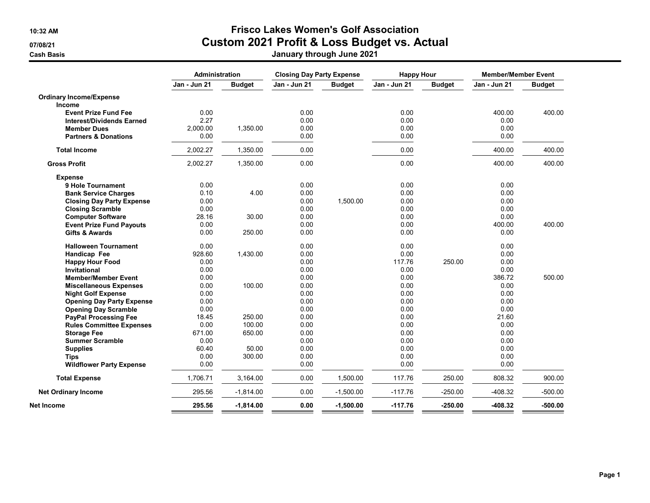## 10:32 AM Frisco Lakes Women's Golf Association 07/08/21 Custom 2021 Profit & Loss Budget vs. Actual

Cash Basis January through June 2021

|                                  | Administration |               | <b>Closing Day Party Expense</b> |               | <b>Happy Hour</b> |               | <b>Member/Member Event</b> |               |
|----------------------------------|----------------|---------------|----------------------------------|---------------|-------------------|---------------|----------------------------|---------------|
|                                  | Jan - Jun 21   | <b>Budget</b> | <b>Jan - Jun 21</b>              | <b>Budget</b> | Jan - Jun 21      | <b>Budget</b> | Jan - Jun 21               | <b>Budget</b> |
| <b>Ordinary Income/Expense</b>   |                |               |                                  |               |                   |               |                            |               |
| <b>Income</b>                    |                |               |                                  |               |                   |               |                            |               |
| <b>Event Prize Fund Fee</b>      | 0.00           |               | 0.00                             |               | 0.00              |               | 400.00                     | 400.00        |
| <b>Interest/Dividends Earned</b> | 2.27           |               | 0.00                             |               | 0.00              |               | 0.00                       |               |
| <b>Member Dues</b>               | 2,000.00       | 1,350.00      | 0.00                             |               | 0.00              |               | 0.00                       |               |
| <b>Partners &amp; Donations</b>  | 0.00           |               | 0.00                             |               | 0.00              |               | 0.00                       |               |
| <b>Total Income</b>              | 2,002.27       | 1,350.00      | 0.00                             |               | 0.00              |               | 400.00                     | 400.00        |
| <b>Gross Profit</b>              | 2,002.27       | 1,350.00      | 0.00                             |               | 0.00              |               | 400.00                     | 400.00        |
| <b>Expense</b>                   |                |               |                                  |               |                   |               |                            |               |
| 9 Hole Tournament                | 0.00           |               | 0.00                             |               | 0.00              |               | 0.00                       |               |
| <b>Bank Service Charges</b>      | 0.10           | 4.00          | 0.00                             |               | 0.00              |               | 0.00                       |               |
| <b>Closing Day Party Expense</b> | 0.00           |               | 0.00                             | 1,500.00      | 0.00              |               | 0.00                       |               |
| <b>Closing Scramble</b>          | 0.00           |               | 0.00                             |               | 0.00              |               | 0.00                       |               |
| <b>Computer Software</b>         | 28.16          | 30.00         | 0.00                             |               | 0.00              |               | 0.00                       |               |
| <b>Event Prize Fund Payouts</b>  | 0.00           |               | 0.00                             |               | 0.00              |               | 400.00                     | 400.00        |
| <b>Gifts &amp; Awards</b>        | 0.00           | 250.00        | 0.00                             |               | 0.00              |               | 0.00                       |               |
| <b>Halloween Tournament</b>      | 0.00           |               | 0.00                             |               | 0.00              |               | 0.00                       |               |
| Handicap Fee                     | 928.60         | 1,430.00      | 0.00                             |               | 0.00              |               | 0.00                       |               |
| <b>Happy Hour Food</b>           | 0.00           |               | 0.00                             |               | 117.76            | 250.00        | 0.00                       |               |
| <b>Invitational</b>              | 0.00           |               | 0.00                             |               | 0.00              |               | 0.00                       |               |
| <b>Member/Member Event</b>       | 0.00           |               | 0.00                             |               | 0.00              |               | 386.72                     | 500.00        |
| <b>Miscellaneous Expenses</b>    | 0.00           | 100.00        | 0.00                             |               | 0.00              |               | 0.00                       |               |
| <b>Night Golf Expense</b>        | 0.00           |               | 0.00                             |               | 0.00              |               | 0.00                       |               |
| <b>Opening Day Party Expense</b> | 0.00           |               | 0.00                             |               | 0.00              |               | 0.00                       |               |
| <b>Opening Day Scramble</b>      | 0.00           |               | 0.00                             |               | 0.00              |               | 0.00                       |               |
| <b>PayPal Processing Fee</b>     | 18.45          | 250.00        | 0.00                             |               | 0.00              |               | 21.60                      |               |
| <b>Rules Committee Expenses</b>  | 0.00           | 100.00        | 0.00                             |               | 0.00              |               | 0.00                       |               |
| <b>Storage Fee</b>               | 671.00         | 650.00        | 0.00                             |               | 0.00              |               | 0.00                       |               |
| <b>Summer Scramble</b>           | 0.00           |               | 0.00                             |               | 0.00              |               | 0.00                       |               |
| <b>Supplies</b>                  | 60.40          | 50.00         | 0.00                             |               | 0.00              |               | 0.00                       |               |
| <b>Tips</b>                      | 0.00           | 300.00        | 0.00                             |               | 0.00              |               | 0.00                       |               |
| <b>Wildflower Party Expense</b>  | 0.00           |               | 0.00                             |               | 0.00              |               | 0.00                       |               |
| <b>Total Expense</b>             | 1,706.71       | 3,164.00      | 0.00                             | 1,500.00      | 117.76            | 250.00        | 808.32                     | 900.00        |
| <b>Net Ordinary Income</b>       | 295.56         | $-1,814.00$   | 0.00                             | $-1,500.00$   | $-117.76$         | $-250.00$     | $-408.32$                  | $-500.00$     |
| Net Income                       | 295.56         | $-1,814.00$   | 0.00                             | $-1,500.00$   | $-117.76$         | $-250.00$     | $-408.32$                  | $-500.00$     |